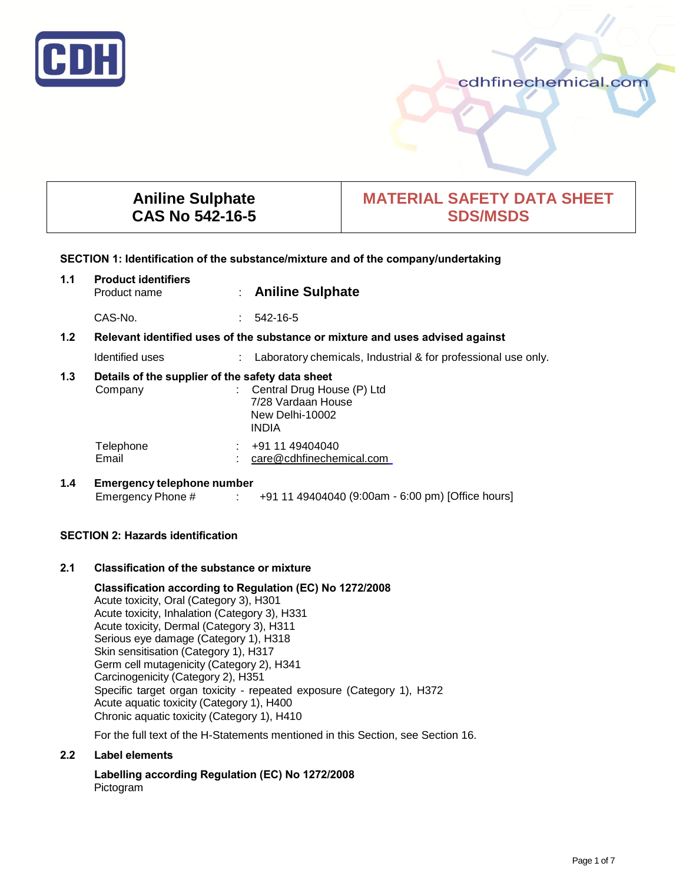

cdhfinechemical.com

# **Aniline Sulphate CAS No 542-16-5**

# **MATERIAL SAFETY DATA SHEET SDS/MSDS**

# **SECTION 1: Identification of the substance/mixture and of the company/undertaking**

| 1.1 | <b>Product identifiers</b><br>Product name                  | ÷                                                                             | <b>Aniline Sulphate</b>                                                             |  |
|-----|-------------------------------------------------------------|-------------------------------------------------------------------------------|-------------------------------------------------------------------------------------|--|
|     | CAS-No.                                                     | ÷.                                                                            | 542-16-5                                                                            |  |
| 1.2 |                                                             | Relevant identified uses of the substance or mixture and uses advised against |                                                                                     |  |
|     | Identified uses                                             |                                                                               | Laboratory chemicals, Industrial & for professional use only.                       |  |
| 1.3 | Details of the supplier of the safety data sheet<br>Company |                                                                               | Central Drug House (P) Ltd<br>7/28 Vardaan House<br>New Delhi-10002<br><b>INDIA</b> |  |
|     | Telephone<br>Email                                          |                                                                               | +91 11 49404040<br>care@cdhfinechemical.com                                         |  |
| 1.4 | <b>Emergency telephone number</b>                           |                                                                               |                                                                                     |  |

Emergency Phone # : +91 11 49404040 (9:00am - 6:00 pm) [Office hours]

# **SECTION 2: Hazards identification**

# **2.1 Classification of the substance or mixture**

**Classification according to Regulation (EC) No 1272/2008**  Acute toxicity, Oral (Category 3), H301 Acute toxicity, Inhalation (Category 3), H331 Acute toxicity, Dermal (Category 3), H311 Serious eye damage (Category 1), H318 Skin sensitisation (Category 1), H317 Germ cell mutagenicity (Category 2), H341 Carcinogenicity (Category 2), H351 Specific target organ toxicity - repeated exposure (Category 1), H372 Acute aquatic toxicity (Category 1), H400 Chronic aquatic toxicity (Category 1), H410

For the full text of the H-Statements mentioned in this Section, see Section 16.

# **2.2 Label elements**

**Labelling according Regulation (EC) No 1272/2008** Pictogram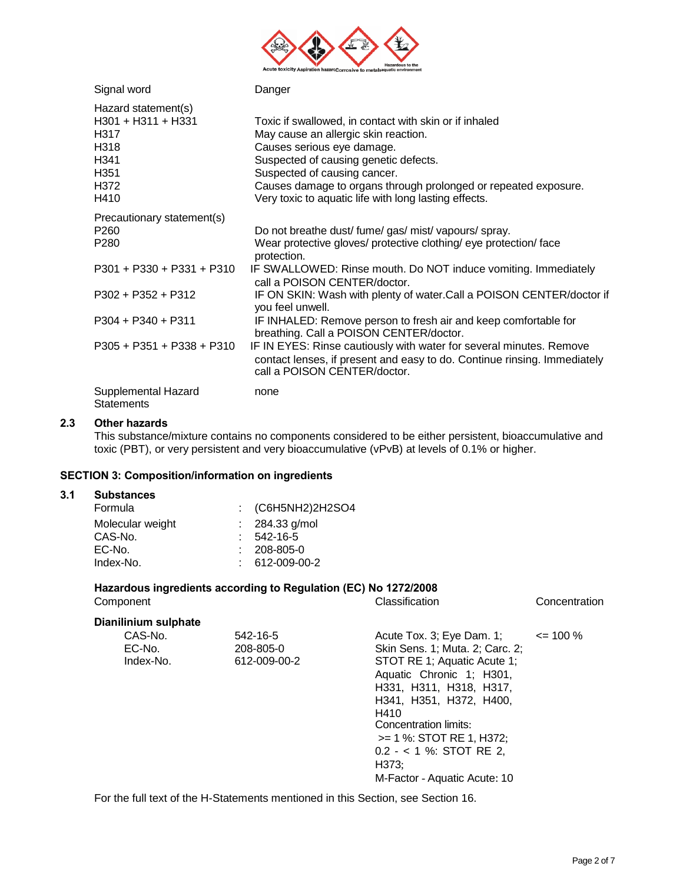

| Signal word                                                                                           | Danger                                                                                                                                                                                                                                                                                                                            |
|-------------------------------------------------------------------------------------------------------|-----------------------------------------------------------------------------------------------------------------------------------------------------------------------------------------------------------------------------------------------------------------------------------------------------------------------------------|
| Hazard statement(s)<br>H301 + H311 + H331<br>H317<br>H318<br>H341<br>H <sub>351</sub><br>H372<br>H410 | Toxic if swallowed, in contact with skin or if inhaled<br>May cause an allergic skin reaction.<br>Causes serious eye damage.<br>Suspected of causing genetic defects.<br>Suspected of causing cancer.<br>Causes damage to organs through prolonged or repeated exposure.<br>Very toxic to aquatic life with long lasting effects. |
| Precautionary statement(s)<br>P <sub>260</sub><br>P <sub>280</sub>                                    | Do not breathe dust/ fume/ gas/ mist/ vapours/ spray.<br>Wear protective gloves/ protective clothing/ eye protection/ face<br>protection.                                                                                                                                                                                         |
| $P301 + P330 + P331 + P310$                                                                           | IF SWALLOWED: Rinse mouth. Do NOT induce vomiting. Immediately<br>call a POISON CENTER/doctor.                                                                                                                                                                                                                                    |
| $P302 + P352 + P312$                                                                                  | IF ON SKIN: Wash with plenty of water.Call a POISON CENTER/doctor if<br>you feel unwell.                                                                                                                                                                                                                                          |
| $P304 + P340 + P311$                                                                                  | IF INHALED: Remove person to fresh air and keep comfortable for<br>breathing. Call a POISON CENTER/doctor.                                                                                                                                                                                                                        |
| P305 + P351 + P338 + P310                                                                             | IF IN EYES: Rinse cautiously with water for several minutes. Remove<br>contact lenses, if present and easy to do. Continue rinsing. Immediately<br>call a POISON CENTER/doctor.                                                                                                                                                   |
| Supplemental Hazard<br><b>Statements</b>                                                              | none                                                                                                                                                                                                                                                                                                                              |

# **2.3 Other hazards**

This substance/mixture contains no components considered to be either persistent, bioaccumulative and toxic (PBT), or very persistent and very bioaccumulative (vPvB) at levels of 0.1% or higher.

# **SECTION 3: Composition/information on ingredients**

#### **3.1 Substances**

| oupslances       |                              |
|------------------|------------------------------|
| Formula          | $\therefore$ (C6H5NH2)2H2SO4 |
| Molecular weight | $: 284.33$ g/mol             |
| CAS-No.          | $: 542 - 16 - 5$             |
| EC-No.           | $: 208 - 805 - 0$            |
| Index-No.        | 612-009-00-2                 |

# **Hazardous ingredients according to Regulation (EC) No 1272/2008**

| Component                      |                                       | Classification                                                                                                                                                                                                                                                                                                   | Concentration |
|--------------------------------|---------------------------------------|------------------------------------------------------------------------------------------------------------------------------------------------------------------------------------------------------------------------------------------------------------------------------------------------------------------|---------------|
| Dianilinium sulphate           |                                       |                                                                                                                                                                                                                                                                                                                  |               |
| CAS-No.<br>EC-No.<br>Index-No. | 542-16-5<br>208-805-0<br>612-009-00-2 | Acute Tox. 3; Eye Dam. 1;<br>Skin Sens. 1; Muta. 2; Carc. 2;<br>STOT RE 1; Aquatic Acute 1;<br>Aquatic Chronic 1; H301,<br>H331, H311, H318, H317,<br>H341, H351, H372, H400,<br>H410<br>Concentration limits:<br>$>= 1$ %: STOT RE 1, H372;<br>$0.2 - 1$ %: STOT RE 2,<br>H373:<br>M-Factor - Aquatic Acute: 10 | $\leq$ 100 %  |

For the full text of the H-Statements mentioned in this Section, see Section 16.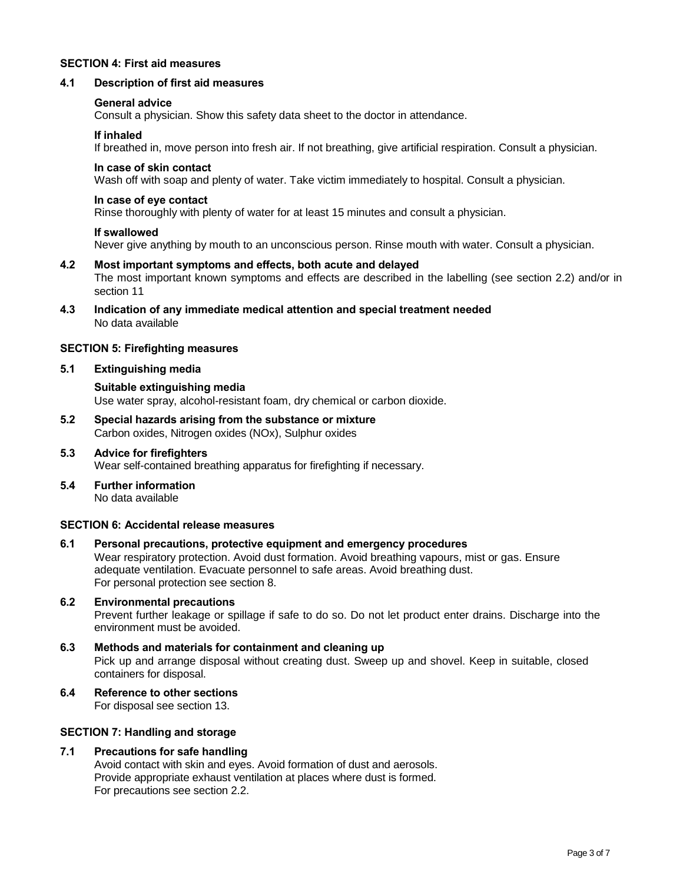## **SECTION 4: First aid measures**

#### **4.1 Description of first aid measures**

#### **General advice**

Consult a physician. Show this safety data sheet to the doctor in attendance.

#### **If inhaled**

If breathed in, move person into fresh air. If not breathing, give artificial respiration. Consult a physician.

#### **In case of skin contact**

Wash off with soap and plenty of water. Take victim immediately to hospital. Consult a physician.

#### **In case of eye contact**

Rinse thoroughly with plenty of water for at least 15 minutes and consult a physician.

#### **If swallowed**

Never give anything by mouth to an unconscious person. Rinse mouth with water. Consult a physician.

#### **4.2 Most important symptoms and effects, both acute and delayed**  The most important known symptoms and effects are described in the labelling (see section 2.2) and/or in section 11

**4.3 Indication of any immediate medical attention and special treatment needed**  No data available

#### **SECTION 5: Firefighting measures**

## **5.1 Extinguishing media**

## **Suitable extinguishing media**

Use water spray, alcohol-resistant foam, dry chemical or carbon dioxide.

**5.2 Special hazards arising from the substance or mixture**  Carbon oxides, Nitrogen oxides (NOx), Sulphur oxides

## **5.3 Advice for firefighters** Wear self-contained breathing apparatus for firefighting if necessary.

**5.4 Further information** No data available

#### **SECTION 6: Accidental release measures**

# **6.1 Personal precautions, protective equipment and emergency procedures**

Wear respiratory protection. Avoid dust formation. Avoid breathing vapours, mist or gas. Ensure adequate ventilation. Evacuate personnel to safe areas. Avoid breathing dust. For personal protection see section 8.

# **6.2 Environmental precautions**

Prevent further leakage or spillage if safe to do so. Do not let product enter drains. Discharge into the environment must be avoided.

# **6.3 Methods and materials for containment and cleaning up**  Pick up and arrange disposal without creating dust. Sweep up and shovel. Keep in suitable, closed containers for disposal.

# **6.4 Reference to other sections**

For disposal see section 13.

## **SECTION 7: Handling and storage**

# **7.1 Precautions for safe handling**

Avoid contact with skin and eyes. Avoid formation of dust and aerosols. Provide appropriate exhaust ventilation at places where dust is formed. For precautions see section 2.2.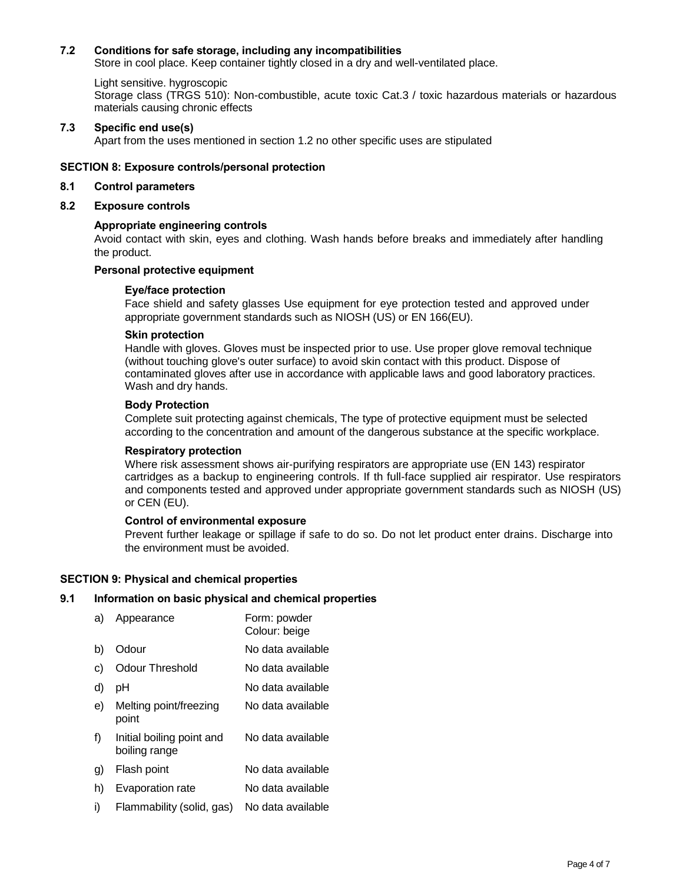# **7.2 Conditions for safe storage, including any incompatibilities**

Store in cool place. Keep container tightly closed in a dry and well-ventilated place.

#### Light sensitive. hygroscopic

Storage class (TRGS 510): Non-combustible, acute toxic Cat.3 / toxic hazardous materials or hazardous materials causing chronic effects

## **7.3 Specific end use(s)**

Apart from the uses mentioned in section 1.2 no other specific uses are stipulated

#### **SECTION 8: Exposure controls/personal protection**

#### **8.1 Control parameters**

## **8.2 Exposure controls**

## **Appropriate engineering controls**

Avoid contact with skin, eyes and clothing. Wash hands before breaks and immediately after handling the product.

# **Personal protective equipment**

#### **Eye/face protection**

Face shield and safety glasses Use equipment for eye protection tested and approved under appropriate government standards such as NIOSH (US) or EN 166(EU).

## **Skin protection**

Handle with gloves. Gloves must be inspected prior to use. Use proper glove removal technique (without touching glove's outer surface) to avoid skin contact with this product. Dispose of contaminated gloves after use in accordance with applicable laws and good laboratory practices. Wash and dry hands.

## **Body Protection**

Complete suit protecting against chemicals, The type of protective equipment must be selected according to the concentration and amount of the dangerous substance at the specific workplace.

#### **Respiratory protection**

Where risk assessment shows air-purifying respirators are appropriate use (EN 143) respirator cartridges as a backup to engineering controls. If th full-face supplied air respirator. Use respirators and components tested and approved under appropriate government standards such as NIOSH (US) or CEN (EU).

#### **Control of environmental exposure**

Prevent further leakage or spillage if safe to do so. Do not let product enter drains. Discharge into the environment must be avoided.

#### **SECTION 9: Physical and chemical properties**

## **9.1 Information on basic physical and chemical properties**

| a)             | Appearance                                 | Form: powder<br>Colour: beige |
|----------------|--------------------------------------------|-------------------------------|
| b)             | Odour                                      | No data available             |
| C)             | <b>Odour Threshold</b>                     | No data available             |
| d)             | рH                                         | No data available             |
| e)             | Melting point/freezing<br>point            | No data available             |
| f)             | Initial boiling point and<br>boiling range | No data available             |
| $\mathfrak{g}$ | Flash point                                | No data available             |
| h)             | Evaporation rate                           | No data available             |
| i)             | Flammability (solid, gas)                  | No data available             |
|                |                                            |                               |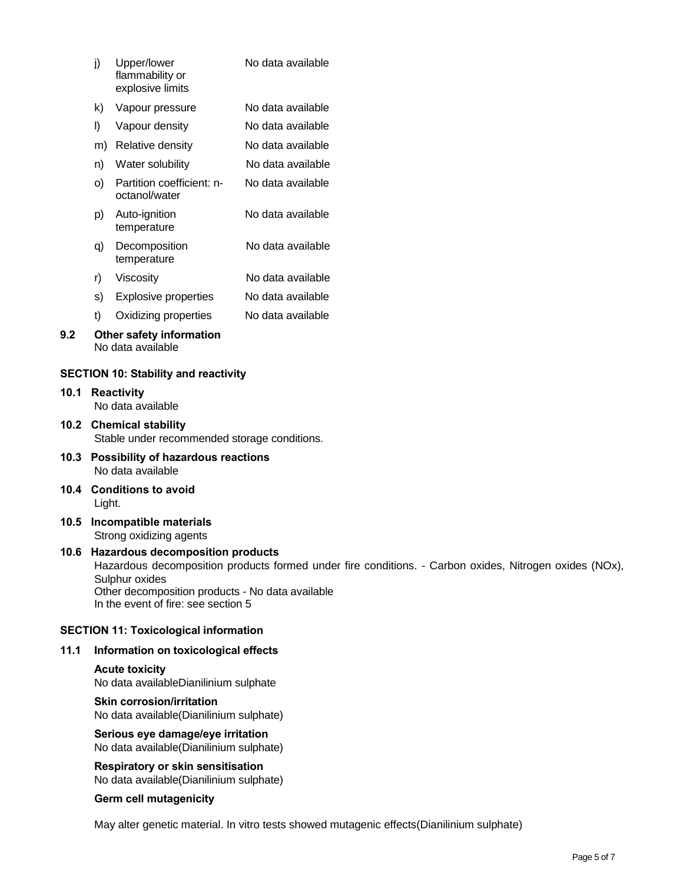| i) | Upper/lower<br>flammability or<br>explosive limits | No data available |
|----|----------------------------------------------------|-------------------|
|    |                                                    |                   |

- k) Vapour pressure No data available
- l) Vapour density No data available
- m) Relative density No data available
- n) Water solubility No data available
- o) Partition coefficient: n- No data available octanol/water
- p) Auto-ignition No data available temperature
- q) Decomposition No data available temperature
- r) Viscosity No data available
- s) Explosive properties No data available
- t) Oxidizing properties No data available

## **9.2 Other safety information** No data available

# **SECTION 10: Stability and reactivity**

- **10.1 Reactivity**  No data available
- **10.2 Chemical stability**  Stable under recommended storage conditions.
- **10.3 Possibility of hazardous reactions**  No data available
- **10.4 Conditions to avoid**  Light.
- **10.5 Incompatible materials**  Strong oxidizing agents

## **10.6 Hazardous decomposition products**  Hazardous decomposition products formed under fire conditions. - Carbon oxides, Nitrogen oxides (NOx), Sulphur oxides Other decomposition products - No data available In the event of fire: see section 5

# **SECTION 11: Toxicological information**

# **11.1 Information on toxicological effects**

# **Acute toxicity**  No data availableDianilinium sulphate

# **Skin corrosion/irritation**

No data available(Dianilinium sulphate)

**Serious eye damage/eye irritation**  No data available(Dianilinium sulphate)

**Respiratory or skin sensitisation**  No data available(Dianilinium sulphate)

# **Germ cell mutagenicity**

May alter genetic material. In vitro tests showed mutagenic effects(Dianilinium sulphate)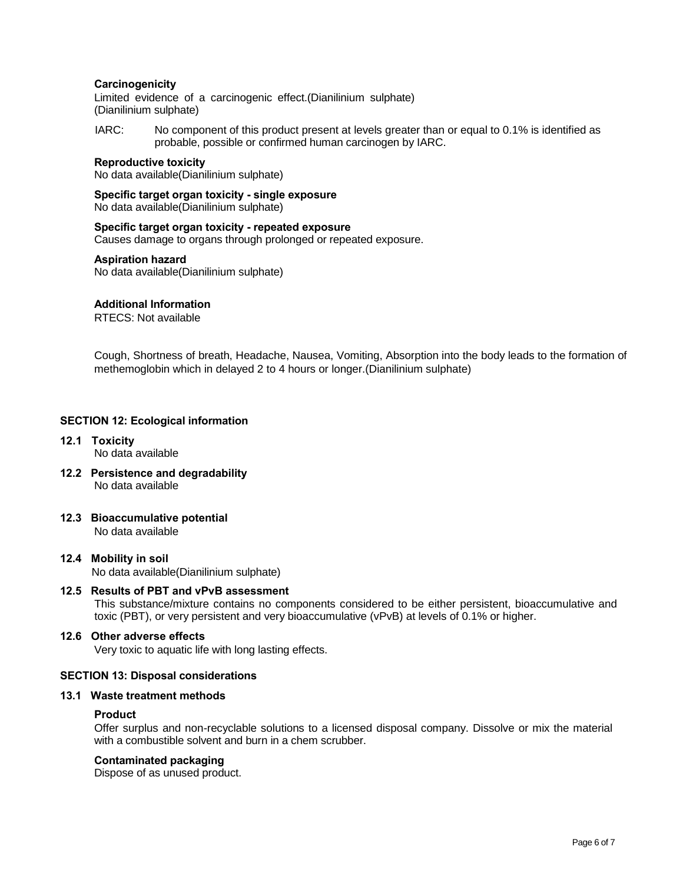# **Carcinogenicity**

Limited evidence of a carcinogenic effect.(Dianilinium sulphate) (Dianilinium sulphate)

IARC: No component of this product present at levels greater than or equal to 0.1% is identified as probable, possible or confirmed human carcinogen by IARC.

#### **Reproductive toxicity**

No data available(Dianilinium sulphate)

**Specific target organ toxicity - single exposure**  No data available(Dianilinium sulphate)

**Specific target organ toxicity - repeated exposure**  Causes damage to organs through prolonged or repeated exposure.

#### **Aspiration hazard**

No data available(Dianilinium sulphate)

### **Additional Information**

RTECS: Not available

Cough, Shortness of breath, Headache, Nausea, Vomiting, Absorption into the body leads to the formation of methemoglobin which in delayed 2 to 4 hours or longer.(Dianilinium sulphate)

## **SECTION 12: Ecological information**

- **12.1 Toxicity**  No data available
- **12.2 Persistence and degradability**  No data available
- **12.3 Bioaccumulative potential**

No data available

**12.4 Mobility in soil**  No data available(Dianilinium sulphate)

#### **12.5 Results of PBT and vPvB assessment**

This substance/mixture contains no components considered to be either persistent, bioaccumulative and toxic (PBT), or very persistent and very bioaccumulative (vPvB) at levels of 0.1% or higher.

# **12.6 Other adverse effects**

Very toxic to aquatic life with long lasting effects.

#### **SECTION 13: Disposal considerations**

#### **13.1 Waste treatment methods**

#### **Product**

Offer surplus and non-recyclable solutions to a licensed disposal company. Dissolve or mix the material with a combustible solvent and burn in a chem scrubber.

## **Contaminated packaging**

Dispose of as unused product.